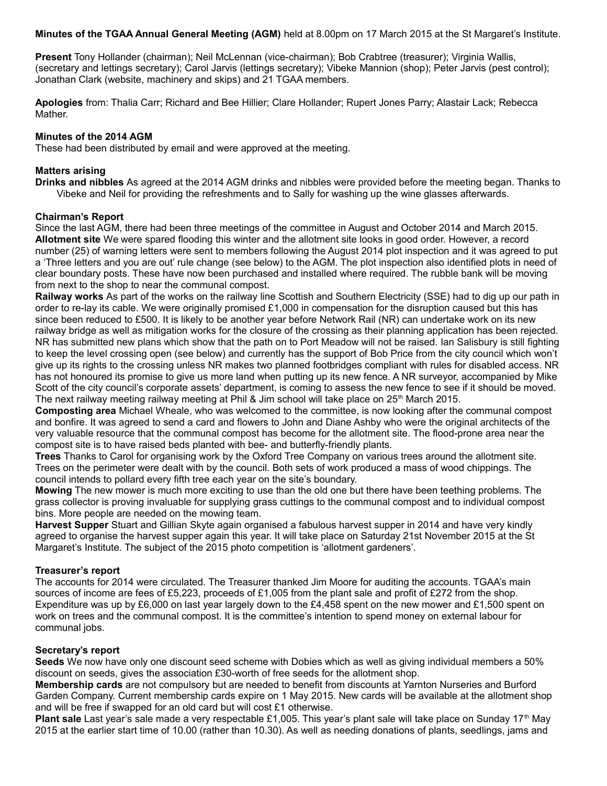**Minutes of the TGAA Annual General Meeting (AGM)** held at 8.00pm on 17 March 2015 at the St Margaret's Institute.

**Present** Tony Hollander (chairman); Neil McLennan (vice-chairman); Bob Crabtree (treasurer); Virginia Wallis, (secretary and lettings secretary); Carol Jarvis (lettings secretary); Vibeke Mannion (shop); Peter Jarvis (pest control); Jonathan Clark (website, machinery and skips) and 21 TGAA members.

**Apologies** from: Thalia Carr; Richard and Bee Hillier; Clare Hollander; Rupert Jones Parry; Alastair Lack; Rebecca Mather.

## **Minutes of the 2014 AGM**

These had been distributed by email and were approved at the meeting.

## **Matters arising**

**Drinks and nibbles** As agreed at the 2014 AGM drinks and nibbles were provided before the meeting began. Thanks to Vibeke and Neil for providing the refreshments and to Sally for washing up the wine glasses afterwards.

## **Chairman's Report**

Since the last AGM, there had been three meetings of the committee in August and October 2014 and March 2015. **Allotment site** We were spared flooding this winter and the allotment site looks in good order. However, a record number (25) of warning letters were sent to members following the August 2014 plot inspection and it was agreed to put a 'Three letters and you are out' rule change (see below) to the AGM. The plot inspection also identified plots in need of clear boundary posts. These have now been purchased and installed where required. The rubble bank will be moving from next to the shop to near the communal compost.

**Railway works** As part of the works on the railway line Scottish and Southern Electricity (SSE) had to dig up our path in order to re-lay its cable. We were originally promised £1,000 in compensation for the disruption caused but this has since been reduced to £500. It is likely to be another year before Network Rail (NR) can undertake work on its new railway bridge as well as mitigation works for the closure of the crossing as their planning application has been rejected. NR has submitted new plans which show that the path on to Port Meadow will not be raised. Ian Salisbury is still fighting to keep the level crossing open (see below) and currently has the support of Bob Price from the city council which won't give up its rights to the crossing unless NR makes two planned footbridges compliant with rules for disabled access. NR has not honoured its promise to give us more land when putting up its new fence. A NR surveyor, accompanied by Mike Scott of the city council's corporate assets' department, is coming to assess the new fence to see if it should be moved. The next railway meeting railway meeting at Phil & Jim school will take place on 25<sup>th</sup> March 2015.

**Composting area** Michael Wheale, who was welcomed to the committee, is now looking after the communal compost and bonfire. It was agreed to send a card and flowers to John and Diane Ashby who were the original architects of the very valuable resource that the communal compost has become for the allotment site. The flood-prone area near the compost site is to have raised beds planted with bee- and butterfly-friendly plants.

**Trees** Thanks to Carol for organising work by the Oxford Tree Company on various trees around the allotment site. Trees on the perimeter were dealt with by the council. Both sets of work produced a mass of wood chippings. The council intends to pollard every fifth tree each year on the site's boundary.

**Mowing** The new mower is much more exciting to use than the old one but there have been teething problems. The grass collector is proving invaluable for supplying grass cuttings to the communal compost and to individual compost bins. More people are needed on the mowing team.

**Harvest Supper** Stuart and Gillian Skyte again organised a fabulous harvest supper in 2014 and have very kindly agreed to organise the harvest supper again this year. It will take place on Saturday 21st November 2015 at the St Margaret's Institute. The subject of the 2015 photo competition is 'allotment gardeners'.

## **Treasurer's report**

The accounts for 2014 were circulated. The Treasurer thanked Jim Moore for auditing the accounts. TGAA's main sources of income are fees of £5,223, proceeds of £1,005 from the plant sale and profit of £272 from the shop. Expenditure was up by £6,000 on last year largely down to the £4,458 spent on the new mower and £1,500 spent on work on trees and the communal compost. It is the committee's intention to spend money on external labour for communal jobs.

## **Secretary's report**

**Seeds** We now have only one discount seed scheme with Dobies which as well as giving individual members a 50% discount on seeds, gives the association £30-worth of free seeds for the allotment shop.

**Membership cards** are not compulsory but are needed to benefit from discounts at Yarnton Nurseries and Burford Garden Company. Current membership cards expire on 1 May 2015. New cards will be available at the allotment shop and will be free if swapped for an old card but will cost £1 otherwise.

**Plant sale** Last year's sale made a very respectable £1,005. This year's plant sale will take place on Sunday 17<sup>th</sup> May 2015 at the earlier start time of 10.00 (rather than 10.30). As well as needing donations of plants, seedlings, jams and